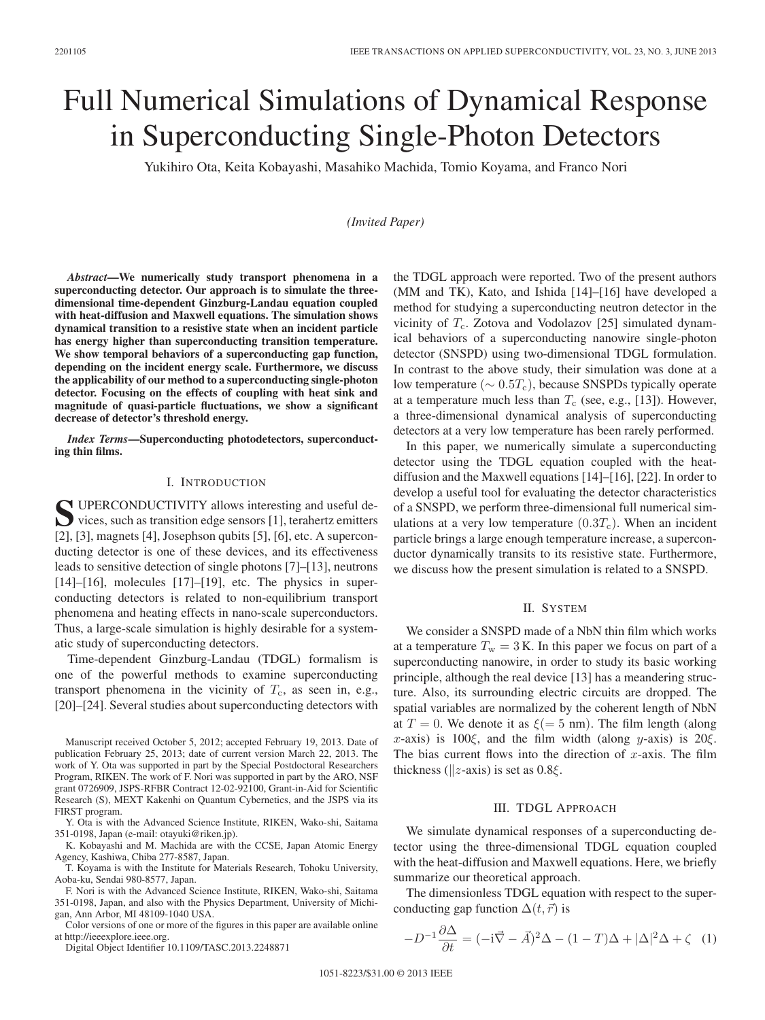# Full Numerical Simulations of Dynamical Response in Superconducting Single-Photon Detectors

Yukihiro Ota, Keita Kobayashi, Masahiko Machida, Tomio Koyama, and Franco Nori

*(Invited Paper)*

*Abstract***—We numerically study transport phenomena in a superconducting detector. Our approach is to simulate the threedimensional time-dependent Ginzburg-Landau equation coupled with heat-diffusion and Maxwell equations. The simulation shows dynamical transition to a resistive state when an incident particle has energy higher than superconducting transition temperature. We show temporal behaviors of a superconducting gap function, depending on the incident energy scale. Furthermore, we discuss the applicability of our method to a superconducting single-photon detector. Focusing on the effects of coupling with heat sink and magnitude of quasi-particle fluctuations, we show a significant decrease of detector's threshold energy.**

*Index Terms***—Superconducting photodetectors, superconducting thin films.**

# I. INTRODUCTION

**S** UPERCONDUCTIVITY allows interesting and useful devices, such as transition edge sensors [1], terahertz emitters [2], [3], magnets [4], Josephson qubits [5], [6], etc. A superconducting detector is one of these devices, and its effectiveness leads to sensitive detection of single photons [7]–[13], neutrons  $[14]$ – $[16]$ , molecules  $[17]$ – $[19]$ , etc. The physics in superconducting detectors is related to non-equilibrium transport phenomena and heating effects in nano-scale superconductors. Thus, a large-scale simulation is highly desirable for a systematic study of superconducting detectors.

Time-dependent Ginzburg-Landau (TDGL) formalism is one of the powerful methods to examine superconducting transport phenomena in the vicinity of  $T_c$ , as seen in, e.g., [20]–[24]. Several studies about superconducting detectors with

Manuscript received October 5, 2012; accepted February 19, 2013. Date of publication February 25, 2013; date of current version March 22, 2013. The work of Y. Ota was supported in part by the Special Postdoctoral Researchers Program, RIKEN. The work of F. Nori was supported in part by the ARO, NSF grant 0726909, JSPS-RFBR Contract 12-02-92100, Grant-in-Aid for Scientific Research (S), MEXT Kakenhi on Quantum Cybernetics, and the JSPS via its FIRST program.

Y. Ota is with the Advanced Science Institute, RIKEN, Wako-shi, Saitama 351-0198, Japan (e-mail: otayuki@riken.jp).

K. Kobayashi and M. Machida are with the CCSE, Japan Atomic Energy Agency, Kashiwa, Chiba 277-8587, Japan.

T. Koyama is with the Institute for Materials Research, Tohoku University, Aoba-ku, Sendai 980-8577, Japan.

F. Nori is with the Advanced Science Institute, RIKEN, Wako-shi, Saitama 351-0198, Japan, and also with the Physics Department, University of Michigan, Ann Arbor, MI 48109-1040 USA.

Color versions of one or more of the figures in this paper are available online at http://ieeexplore.ieee.org.

Digital Object Identifier 10.1109/TASC.2013.2248871

the TDGL approach were reported. Two of the present authors (MM and TK), Kato, and Ishida [14]–[16] have developed a method for studying a superconducting neutron detector in the vicinity of  $T_c$ . Zotova and Vodolazov [25] simulated dynamical behaviors of a superconducting nanowire single-photon detector (SNSPD) using two-dimensional TDGL formulation. In contrast to the above study, their simulation was done at a low temperature ( $\sim 0.5T_c$ ), because SNSPDs typically operate at a temperature much less than  $T_c$  (see, e.g., [13]). However, a three-dimensional dynamical analysis of superconducting detectors at a very low temperature has been rarely performed.

In this paper, we numerically simulate a superconducting detector using the TDGL equation coupled with the heatdiffusion and the Maxwell equations [14]–[16], [22]. In order to develop a useful tool for evaluating the detector characteristics of a SNSPD, we perform three-dimensional full numerical simulations at a very low temperature  $(0.3T_c)$ . When an incident particle brings a large enough temperature increase, a superconductor dynamically transits to its resistive state. Furthermore, we discuss how the present simulation is related to a SNSPD.

# II. SYSTEM

We consider a SNSPD made of a NbN thin film which works at a temperature  $T_w = 3$  K. In this paper we focus on part of a superconducting nanowire, in order to study its basic working principle, although the real device [13] has a meandering structure. Also, its surrounding electric circuits are dropped. The spatial variables are normalized by the coherent length of NbN at  $T = 0$ . We denote it as  $\xi (= 5 \text{ nm})$ . The film length (along x-axis) is 100ξ, and the film width (along y-axis) is 20ξ. The bias current flows into the direction of  $x$ -axis. The film thickness ( $\|z\text{-axis}$ ) is set as 0.8 $\xi$ .

## III. TDGL APPROACH

We simulate dynamical responses of a superconducting detector using the three-dimensional TDGL equation coupled with the heat-diffusion and Maxwell equations. Here, we briefly summarize our theoretical approach.

The dimensionless TDGL equation with respect to the superconducting gap function  $\Delta(t, \vec{r})$  is

$$
-D^{-1}\frac{\partial\Delta}{\partial t} = (-i\vec{\nabla} - \vec{A})^2 \Delta - (1 - T)\Delta + |\Delta|^2 \Delta + \zeta \quad (1)
$$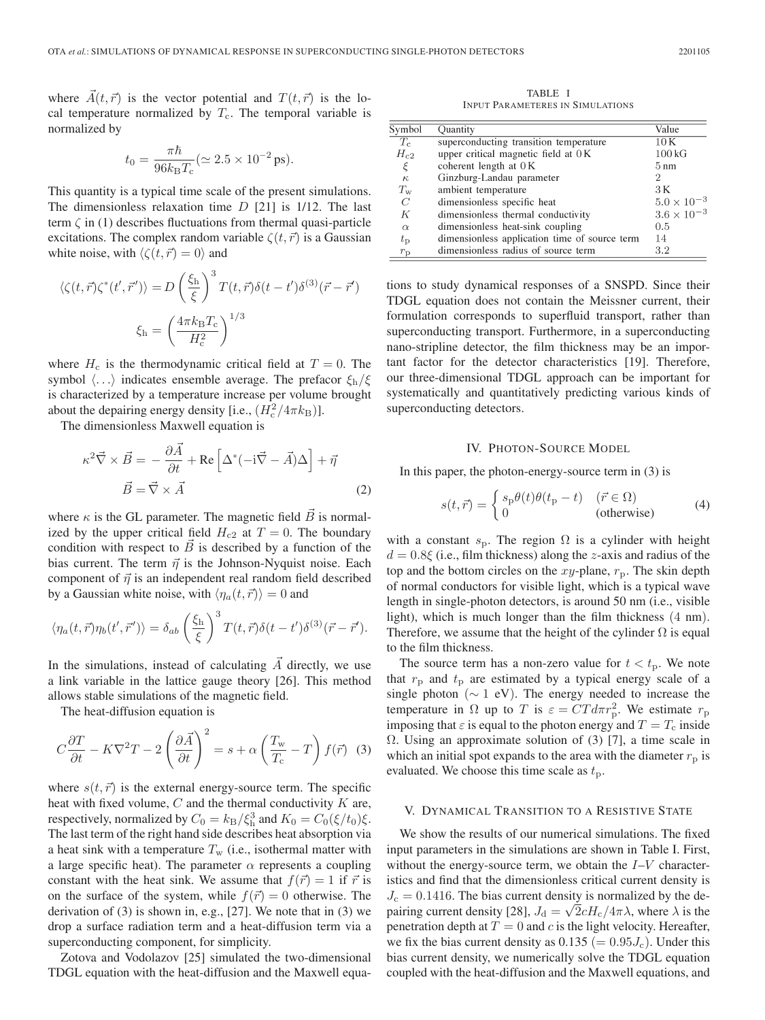where  $\vec{A}(t, \vec{r})$  is the vector potential and  $T(t, \vec{r})$  is the local temperature normalized by  $T_c$ . The temporal variable is normalized by

$$
t_0=\frac{\pi\hbar}{96k_{\rm B}T_{\rm c}}(\simeq 2.5\times 10^{-2}\,{\rm ps}).
$$

This quantity is a typical time scale of the present simulations. The dimensionless relaxation time  $D$  [21] is 1/12. The last term  $\zeta$  in (1) describes fluctuations from thermal quasi-particle excitations. The complex random variable  $\zeta(t, \vec{r})$  is a Gaussian white noise, with  $\langle \zeta(t, \vec{r})=0 \rangle$  and

$$
\langle \zeta(t, \vec{r}) \zeta^*(t', \vec{r}') \rangle = D \left( \frac{\xi_h}{\xi} \right)^3 T(t, \vec{r}) \delta(t - t') \delta^{(3)}(\vec{r} - \vec{r}')
$$

$$
\xi_h = \left( \frac{4\pi k_B T_c}{H_c^2} \right)^{1/3}
$$

where  $H_c$  is the thermodynamic critical field at  $T = 0$ . The symbol  $\langle \ldots \rangle$  indicates ensemble average. The prefacor  $\xi_h/\xi$ is characterized by a temperature increase per volume brought about the depairing energy density [i.e.,  $(H_c^2/4\pi k_B)$ ].

The dimensionless Maxwell equation is

$$
\kappa^2 \vec{\nabla} \times \vec{B} = -\frac{\partial \vec{A}}{\partial t} + \text{Re}\left[\Delta^*(-i\vec{\nabla} - \vec{A})\Delta\right] + \vec{\eta}
$$

$$
\vec{B} = \vec{\nabla} \times \vec{A}
$$
(2)

where  $\kappa$  is the GL parameter. The magnetic field  $\vec{B}$  is normalized by the upper critical field  $H_{c2}$  at  $T = 0$ . The boundary condition with respect to  $\vec{B}$  is described by a function of the bias current. The term  $\vec{\eta}$  is the Johnson-Nyquist noise. Each component of  $\vec{\eta}$  is an independent real random field described by a Gaussian white noise, with  $\langle \eta_a(t, \vec{r}) \rangle = 0$  and

$$
\langle \eta_a(t, \vec{r}) \eta_b(t', \vec{r}') \rangle = \delta_{ab} \left( \frac{\xi_h}{\xi} \right)^3 T(t, \vec{r}) \delta(t - t') \delta^{(3)}(\vec{r} - \vec{r}').
$$

In the simulations, instead of calculating  $\vec{A}$  directly, we use a link variable in the lattice gauge theory [26]. This method allows stable simulations of the magnetic field.

The heat-diffusion equation is

$$
C\frac{\partial T}{\partial t} - K\nabla^2 T - 2\left(\frac{\partial \vec{A}}{\partial t}\right)^2 = s + \alpha \left(\frac{T_w}{T_c} - T\right) f(\vec{r}) \tag{3}
$$

where  $s(t, \vec{r})$  is the external energy-source term. The specific heat with fixed volume,  $C$  and the thermal conductivity  $K$  are, respectively, normalized by  $C_0 = k_B / \xi_h^3$  and  $K_0 = C_0 (\xi / t_0) \xi$ . The last term of the right hand side describes heat absorption via a heat sink with a temperature  $T_{\rm w}$  (i.e., isothermal matter with a large specific heat). The parameter  $\alpha$  represents a coupling constant with the heat sink. We assume that  $f(\vec{r})=1$  if  $\vec{r}$  is on the surface of the system, while  $f(\vec{r})=0$  otherwise. The derivation of (3) is shown in, e.g., [27]. We note that in (3) we drop a surface radiation term and a heat-diffusion term via a superconducting component, for simplicity.

Zotova and Vodolazov [25] simulated the two-dimensional TDGL equation with the heat-diffusion and the Maxwell equa-

TABLE I INPUT PARAMETERES IN SIMULATIONS

| Symbol      | Quantity                                      | Value                |
|-------------|-----------------------------------------------|----------------------|
| $T_c$       | superconducting transition temperature        | 10K                  |
| $H_{c2}$    | upper critical magnetic field at 0K           | $100\,\mathrm{kG}$   |
| ξ           | coherent length at 0K                         | $5 \text{ nm}$       |
| $\kappa$    | Ginzburg-Landau parameter                     | 2                    |
| $T_{\rm w}$ | ambient temperature                           | 3K                   |
| C           | dimensionless specific heat                   | $5.0 \times 10^{-3}$ |
| К           | dimensionless thermal conductivity            | $3.6\times10^{-3}$   |
| $\alpha$    | dimensionless heat-sink coupling              | 0.5                  |
| $t_{\rm p}$ | dimensionless application time of source term | 14                   |
| $r_{\rm p}$ | dimensionless radius of source term           | 3.2                  |

tions to study dynamical responses of a SNSPD. Since their TDGL equation does not contain the Meissner current, their formulation corresponds to superfluid transport, rather than superconducting transport. Furthermore, in a superconducting nano-stripline detector, the film thickness may be an important factor for the detector characteristics [19]. Therefore, our three-dimensional TDGL approach can be important for systematically and quantitatively predicting various kinds of superconducting detectors.

#### IV. PHOTON-SOURCE MODEL

In this paper, the photon-energy-source term in (3) is

$$
s(t, \vec{r}) = \begin{cases} s_{\rm p}\theta(t)\theta(t_{\rm p} - t) & (\vec{r} \in \Omega) \\ 0 & \text{(otherwise)} \end{cases}
$$
 (4)

with a constant  $s_p$ . The region  $\Omega$  is a cylinder with height  $d = 0.8\xi$  (i.e., film thickness) along the z-axis and radius of the top and the bottom circles on the  $xy$ -plane,  $r_p$ . The skin depth of normal conductors for visible light, which is a typical wave length in single-photon detectors, is around 50 nm (i.e., visible light), which is much longer than the film thickness (4 nm). Therefore, we assume that the height of the cylinder  $\Omega$  is equal to the film thickness.

The source term has a non-zero value for  $t < t_p$ . We note that  $r_p$  and  $t_p$  are estimated by a typical energy scale of a single photon ( $\sim 1$  eV). The energy needed to increase the temperature in  $\Omega$  up to T is  $\varepsilon = CT d\pi r_p^2$ . We estimate  $r_p$ imposing that  $\varepsilon$  is equal to the photon energy and  $T = T_c$  inside  $\Omega$ . Using an approximate solution of (3) [7], a time scale in which an initial spot expands to the area with the diameter  $r_p$  is evaluated. We choose this time scale as  $t<sub>p</sub>$ .

#### V. DYNAMICAL TRANSITION TO A RESISTIVE STATE

We show the results of our numerical simulations. The fixed input parameters in the simulations are shown in Table I. First, without the energy-source term, we obtain the  $I-V$  characteristics and find that the dimensionless critical current density is  $J_c = 0.1416$ . The bias current density is normalized by the depairing current density [28],  $J_d = \sqrt{2cH_c/4\pi\lambda}$ , where  $\lambda$  is the penetration depth at  $T = 0$  and c is the light velocity. Hereafter, we fix the bias current density as  $0.135 (= 0.95J_c)$ . Under this bias current density, we numerically solve the TDGL equation coupled with the heat-diffusion and the Maxwell equations, and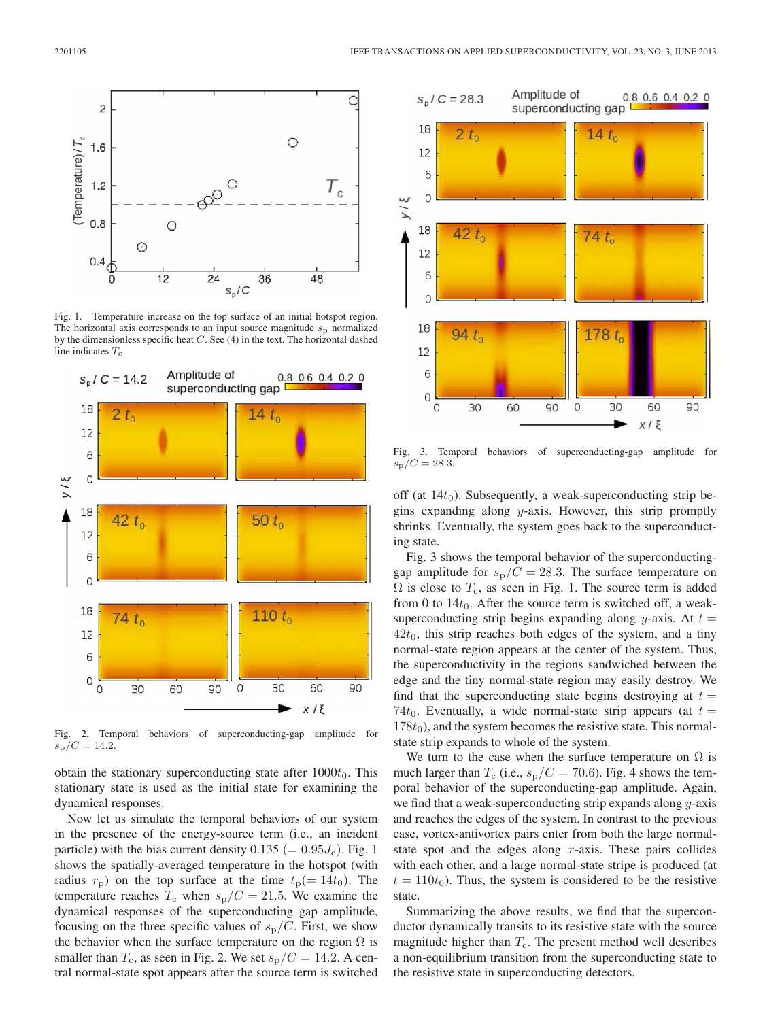

Fig. 1. Temperature increase on the top surface of an initial hotspot region. The horizontal axis corresponds to an input source magnitude  $s_p$  normalized by the dimensionless specific heat  $C$ . See (4) in the text. The horizontal dashed line indicates  $T_c$ .



Fig. 2. Temporal behaviors of superconducting-gap amplitude for  $s_{\rm p}/C = 14.2.$ 

obtain the stationary superconducting state after  $1000t<sub>0</sub>$ . This stationary state is used as the initial state for examining the dynamical responses.

Now let us simulate the temporal behaviors of our system in the presence of the energy-source term (i.e., an incident particle) with the bias current density  $0.135 (= 0.95J_c)$ . Fig. 1 shows the spatially-averaged temperature in the hotspot (with radius  $r_p$ ) on the top surface at the time  $t_p (= 14t_0)$ . The temperature reaches  $T_c$  when  $s_p/C = 21.5$ . We examine the dynamical responses of the superconducting gap amplitude, focusing on the three specific values of  $s_p/C$ . First, we show the behavior when the surface temperature on the region  $\Omega$  is smaller than  $T_c$ , as seen in Fig. 2. We set  $s_p/C = 14.2$ . A central normal-state spot appears after the source term is switched



Fig. 3. Temporal behaviors of superconducting-gap amplitude for  $s_{\rm p}/C = 28.3.$ 

off (at  $14t_0$ ). Subsequently, a weak-superconducting strip begins expanding along y-axis. However, this strip promptly shrinks. Eventually, the system goes back to the superconducting state.

Fig. 3 shows the temporal behavior of the superconductinggap amplitude for  $s_p/C = 28.3$ . The surface temperature on  $\Omega$  is close to  $T_c$ , as seen in Fig. 1. The source term is added from 0 to  $14t_0$ . After the source term is switched off, a weaksuperconducting strip begins expanding along y-axis. At  $t =$  $42t_0$ , this strip reaches both edges of the system, and a tiny normal-state region appears at the center of the system. Thus, the superconductivity in the regions sandwiched between the edge and the tiny normal-state region may easily destroy. We find that the superconducting state begins destroying at  $t =$ 74 $t_0$ . Eventually, a wide normal-state strip appears (at  $t =$  $178t<sub>0</sub>$ ), and the system becomes the resistive state. This normalstate strip expands to whole of the system.

We turn to the case when the surface temperature on  $\Omega$  is much larger than  $T_c$  (i.e.,  $s_p/C = 70.6$ ). Fig. 4 shows the temporal behavior of the superconducting-gap amplitude. Again, we find that a weak-superconducting strip expands along  $y$ -axis and reaches the edges of the system. In contrast to the previous case, vortex-antivortex pairs enter from both the large normalstate spot and the edges along  $x$ -axis. These pairs collides with each other, and a large normal-state stripe is produced (at  $t = 110t_0$ . Thus, the system is considered to be the resistive state.

Summarizing the above results, we find that the superconductor dynamically transits to its resistive state with the source magnitude higher than  $T_c$ . The present method well describes a non-equilibrium transition from the superconducting state to the resistive state in superconducting detectors.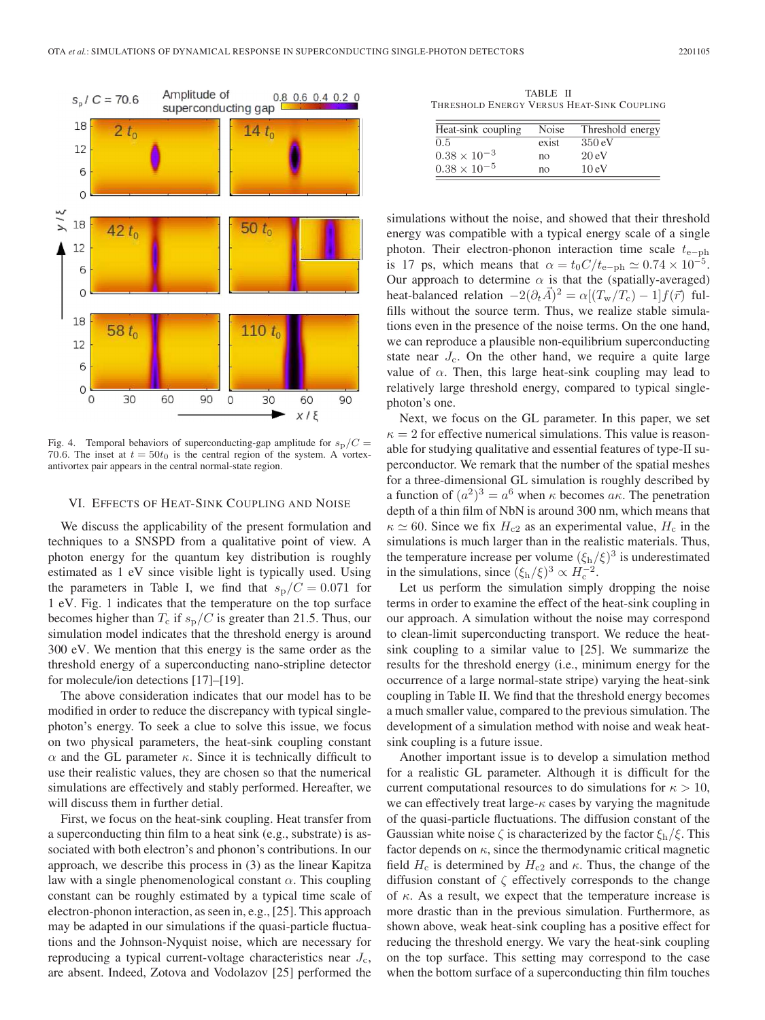

Fig. 4. Temporal behaviors of superconducting-gap amplitude for  $s_p/C =$ 70.6. The inset at  $t = 50t_0$  is the central region of the system. A vortexantivortex pair appears in the central normal-state region.

## VI. EFFECTS OF HEAT-SINK COUPLING AND NOISE

We discuss the applicability of the present formulation and techniques to a SNSPD from a qualitative point of view. A photon energy for the quantum key distribution is roughly estimated as 1 eV since visible light is typically used. Using the parameters in Table I, we find that  $s_p/C = 0.071$  for 1 eV. Fig. 1 indicates that the temperature on the top surface becomes higher than  $T_c$  if  $s_p/C$  is greater than 21.5. Thus, our simulation model indicates that the threshold energy is around 300 eV. We mention that this energy is the same order as the threshold energy of a superconducting nano-stripline detector for molecule/ion detections [17]–[19].

The above consideration indicates that our model has to be modified in order to reduce the discrepancy with typical singlephoton's energy. To seek a clue to solve this issue, we focus on two physical parameters, the heat-sink coupling constant α and the GL parameter κ. Since it is technically difficult to use their realistic values, they are chosen so that the numerical simulations are effectively and stably performed. Hereafter, we will discuss them in further detial.

First, we focus on the heat-sink coupling. Heat transfer from a superconducting thin film to a heat sink (e.g., substrate) is associated with both electron's and phonon's contributions. In our approach, we describe this process in (3) as the linear Kapitza law with a single phenomenological constant  $\alpha$ . This coupling constant can be roughly estimated by a typical time scale of electron-phonon interaction, as seen in, e.g., [25]. This approach may be adapted in our simulations if the quasi-particle fluctuations and the Johnson-Nyquist noise, which are necessary for reproducing a typical current-voltage characteristics near  $J_c$ , are absent. Indeed, Zotova and Vodolazov [25] performed the

TABLE II THRESHOLD ENERGY VERSUS HEAT-SINK COUPLING

| Heat-sink coupling    | Noise | Threshold energy |
|-----------------------|-------|------------------|
| 0.5                   | exist | 350 eV           |
| $0.38 \times 10^{-3}$ | no    | 20eV             |
| $0.38 \times 10^{-5}$ | no    | 10eV             |

simulations without the noise, and showed that their threshold energy was compatible with a typical energy scale of a single photon. Their electron-phonon interaction time scale  $t_{e-ph}$ is 17 ps, which means that  $\alpha = t_0 C/t_{\rm e-ph} \simeq 0.74 \times 10^{-5}$ . Our approach to determine  $\alpha$  is that the (spatially-averaged) heat-balanced relation  $-2(\partial_t \vec{A})^2 = \alpha[(T_{\rm w}/T_{\rm c}) - 1]f(\vec{r})$  fulfills without the source term. Thus, we realize stable simulations even in the presence of the noise terms. On the one hand, we can reproduce a plausible non-equilibrium superconducting state near  $J_c$ . On the other hand, we require a quite large value of  $\alpha$ . Then, this large heat-sink coupling may lead to relatively large threshold energy, compared to typical singlephoton's one.

Next, we focus on the GL parameter. In this paper, we set  $\kappa = 2$  for effective numerical simulations. This value is reasonable for studying qualitative and essential features of type-II superconductor. We remark that the number of the spatial meshes for a three-dimensional GL simulation is roughly described by a function of  $(a^2)^3 = a^6$  when  $\kappa$  becomes  $a\kappa$ . The penetration depth of a thin film of NbN is around 300 nm, which means that  $\kappa \simeq 60$ . Since we fix  $H_{c2}$  as an experimental value,  $H_c$  in the simulations is much larger than in the realistic materials. Thus, the temperature increase per volume  $(\xi_h/\xi)^3$  is underestimated in the simulations, since  $(\xi_h/\xi)^3 \propto H_c^{-2}$ .

Let us perform the simulation simply dropping the noise terms in order to examine the effect of the heat-sink coupling in our approach. A simulation without the noise may correspond to clean-limit superconducting transport. We reduce the heatsink coupling to a similar value to [25]. We summarize the results for the threshold energy (i.e., minimum energy for the occurrence of a large normal-state stripe) varying the heat-sink coupling in Table II. We find that the threshold energy becomes a much smaller value, compared to the previous simulation. The development of a simulation method with noise and weak heatsink coupling is a future issue.

Another important issue is to develop a simulation method for a realistic GL parameter. Although it is difficult for the current computational resources to do simulations for  $\kappa > 10$ , we can effectively treat large- $\kappa$  cases by varying the magnitude of the quasi-particle fluctuations. The diffusion constant of the Gaussian white noise  $\zeta$  is characterized by the factor  $\xi_h/\xi$ . This factor depends on  $\kappa$ , since the thermodynamic critical magnetic field  $H_c$  is determined by  $H_{c2}$  and  $\kappa$ . Thus, the change of the diffusion constant of  $\zeta$  effectively corresponds to the change of  $\kappa$ . As a result, we expect that the temperature increase is more drastic than in the previous simulation. Furthermore, as shown above, weak heat-sink coupling has a positive effect for reducing the threshold energy. We vary the heat-sink coupling on the top surface. This setting may correspond to the case when the bottom surface of a superconducting thin film touches